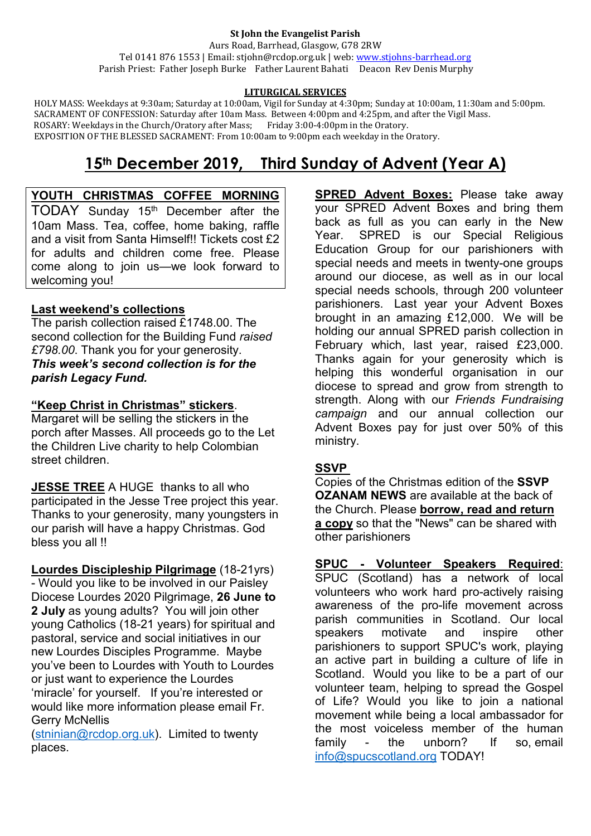#### **St John the Evangelist Parish**

Aurs Road, Barrhead, Glasgow, G78 2RW Tel 0141 876 1553 | Email: stjohn@rcdop.org.uk | web: [www.stjohns-barrhead.org](http://www.stjohns-barrhead.org/) Parish Priest: Father Joseph Burke Father Laurent Bahati Deacon Rev Denis Murphy

#### **LITURGICAL SERVICES**

 HOLY MASS: Weekdays at 9:30am; Saturday at 10:00am, Vigil for Sunday at 4:30pm; Sunday at 10:00am, 11:30am and 5:00pm. SACRAMENT OF CONFESSION: Saturday after 10am Mass. Between 4:00pm and 4:25pm, and after the Vigil Mass.<br>ROSARY: Weekdays in the Church/Oratory after Mass; Friday 3:00-4:00pm in the Oratory. ROSARY: Weekdays in the Church/Oratory after Mass; Friday 3:00-4:00pm in the Oratory. EXPOSITION OF THE BLESSED SACRAMENT: From 10:00am to 9:00pm each weekday in the Oratory.

# **15th December 2019, Third Sunday of Advent (Year A)**

#### **YOUTH CHRISTMAS COFFEE MORNING**

TODAY Sunday 15<sup>th</sup> December after the 10am Mass. Tea, coffee, home baking, raffle and a visit from Santa Himself!! Tickets cost £2 for adults and children come free. Please come along to join us—we look forward to welcoming you!

#### **Last weekend's collections**

The parish collection raised £1748.00. The second collection for the Building Fund *raised £798.00*. Thank you for your generosity. *This week's second collection is for the parish Legacy Fund.*

#### **"Keep Christ in Christmas" stickers**.

Margaret will be selling the stickers in the porch after Masses. All proceeds go to the Let the Children Live charity to help Colombian street children.

**JESSE TREE** A HUGE thanks to all who participated in the Jesse Tree project this year. Thanks to your generosity, many youngsters in our parish will have a happy Christmas. God bless you all !!

**Lourdes Discipleship Pilgrimage** (18-21yrs) - Would you like to be involved in our Paisley Diocese Lourdes 2020 Pilgrimage, **26 June to 2 July** as young adults? You will join other young Catholics (18-21 years) for spiritual and pastoral, service and social initiatives in our new Lourdes Disciples Programme. Maybe you've been to Lourdes with Youth to Lourdes or just want to experience the Lourdes 'miracle' for yourself. If you're interested or would like more information please email Fr. Gerry McNellis

[\(stninian@rcdop.org.uk\)](mailto:stninian@rcdop.org.uk). Limited to twenty places.

**SPRED Advent Boxes:** Please take away your SPRED Advent Boxes and bring them back as full as you can early in the New SPRED is our Special Religious Education Group for our parishioners with special needs and meets in twenty-one groups around our diocese, as well as in our local special needs schools, through 200 volunteer parishioners. Last year your Advent Boxes brought in an amazing £12,000. We will be holding our annual SPRED parish collection in February which, last year, raised £23,000. Thanks again for your generosity which is helping this wonderful organisation in our diocese to spread and grow from strength to strength. Along with our *Friends Fundraising campaign* and our annual collection our Advent Boxes pay for just over 50% of this ministry.

#### **SSVP**

Copies of the Christmas edition of the **SSVP OZANAM NEWS** are available at the back of the Church. Please **borrow, read and return a copy** so that the "News" can be shared with other parishioners

**SPUC - Volunteer Speakers Required**: SPUC (Scotland) has a network of local volunteers who work hard pro-actively raising awareness of the pro-life movement across parish communities in Scotland. Our local speakers motivate and inspire other parishioners to support SPUC's work, playing an active part in building a culture of life in Scotland. Would you like to be a part of our volunteer team, helping to spread the Gospel of Life? Would you like to join a national movement while being a local ambassador for the most voiceless member of the human family - the unborn? If so, email [info@spucscotland.org](mailto:info@spucscotland.org) TODAY!